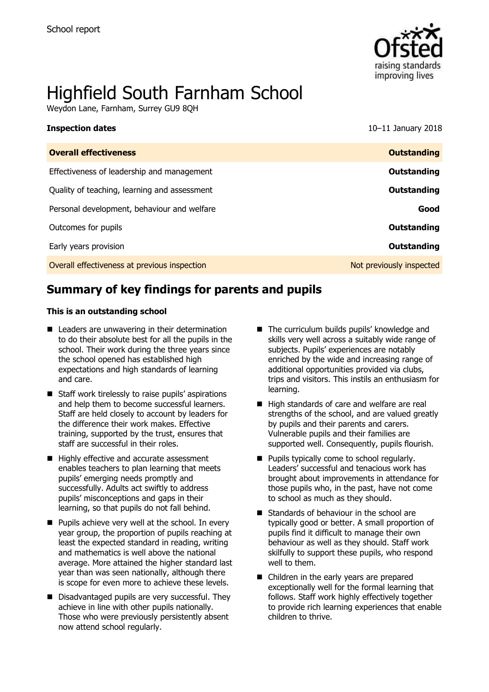

# Highfield South Farnham School

Weydon Lane, Farnham, Surrey GU9 8QH

**Inspection dates** 10–11 January 2018

| <b>Outstanding</b>       |
|--------------------------|
| Outstanding              |
| Outstanding              |
| Good                     |
| Outstanding              |
| Outstanding              |
| Not previously inspected |
|                          |

# **Summary of key findings for parents and pupils**

#### **This is an outstanding school**

- Leaders are unwavering in their determination to do their absolute best for all the pupils in the school. Their work during the three years since the school opened has established high expectations and high standards of learning and care.
- Staff work tirelessly to raise pupils' aspirations and help them to become successful learners. Staff are held closely to account by leaders for the difference their work makes. Effective training, supported by the trust, ensures that staff are successful in their roles.
- Highly effective and accurate assessment enables teachers to plan learning that meets pupils' emerging needs promptly and successfully. Adults act swiftly to address pupils' misconceptions and gaps in their learning, so that pupils do not fall behind.
- $\blacksquare$  Pupils achieve very well at the school. In every year group, the proportion of pupils reaching at least the expected standard in reading, writing and mathematics is well above the national average. More attained the higher standard last year than was seen nationally, although there is scope for even more to achieve these levels.
- Disadvantaged pupils are very successful. They achieve in line with other pupils nationally. Those who were previously persistently absent now attend school regularly.
- The curriculum builds pupils' knowledge and skills very well across a suitably wide range of subjects. Pupils' experiences are notably enriched by the wide and increasing range of additional opportunities provided via clubs, trips and visitors. This instils an enthusiasm for learning.
- High standards of care and welfare are real strengths of the school, and are valued greatly by pupils and their parents and carers. Vulnerable pupils and their families are supported well. Consequently, pupils flourish.
- **Pupils typically come to school regularly.** Leaders' successful and tenacious work has brought about improvements in attendance for those pupils who, in the past, have not come to school as much as they should.
- Standards of behaviour in the school are typically good or better. A small proportion of pupils find it difficult to manage their own behaviour as well as they should. Staff work skilfully to support these pupils, who respond well to them.
- Children in the early years are prepared exceptionally well for the formal learning that follows. Staff work highly effectively together to provide rich learning experiences that enable children to thrive.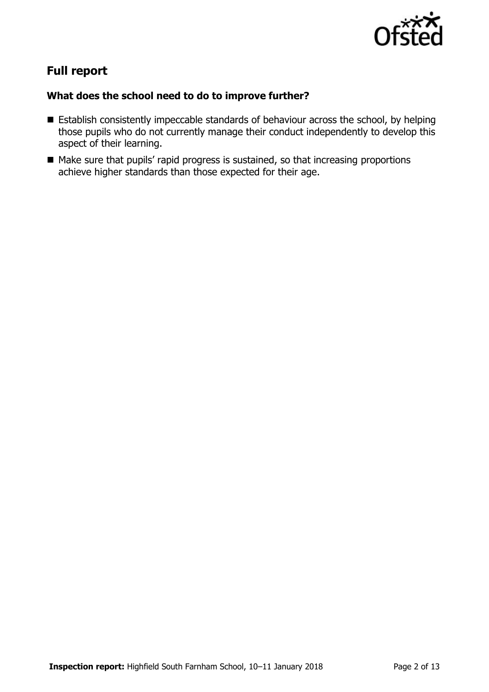

# **Full report**

### **What does the school need to do to improve further?**

- **Establish consistently impeccable standards of behaviour across the school, by helping** those pupils who do not currently manage their conduct independently to develop this aspect of their learning.
- Make sure that pupils' rapid progress is sustained, so that increasing proportions achieve higher standards than those expected for their age.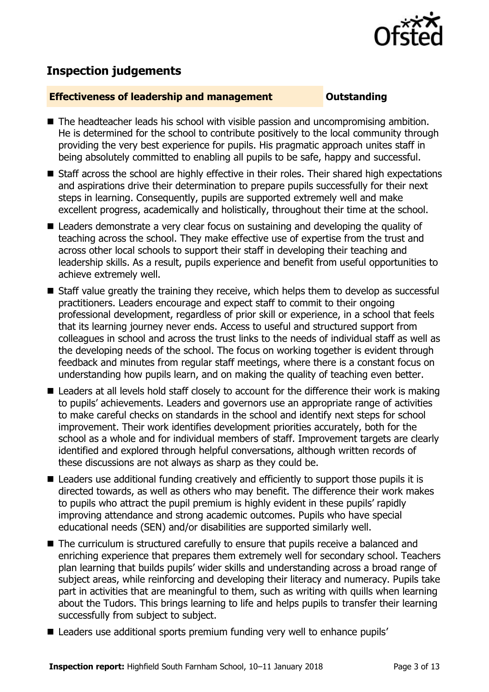

# **Inspection judgements**

#### **Effectiveness of leadership and management Constanding**

- The headteacher leads his school with visible passion and uncompromising ambition. He is determined for the school to contribute positively to the local community through providing the very best experience for pupils. His pragmatic approach unites staff in being absolutely committed to enabling all pupils to be safe, happy and successful.
- Staff across the school are highly effective in their roles. Their shared high expectations and aspirations drive their determination to prepare pupils successfully for their next steps in learning. Consequently, pupils are supported extremely well and make excellent progress, academically and holistically, throughout their time at the school.
- Leaders demonstrate a very clear focus on sustaining and developing the quality of teaching across the school. They make effective use of expertise from the trust and across other local schools to support their staff in developing their teaching and leadership skills. As a result, pupils experience and benefit from useful opportunities to achieve extremely well.
- Staff value greatly the training they receive, which helps them to develop as successful practitioners. Leaders encourage and expect staff to commit to their ongoing professional development, regardless of prior skill or experience, in a school that feels that its learning journey never ends. Access to useful and structured support from colleagues in school and across the trust links to the needs of individual staff as well as the developing needs of the school. The focus on working together is evident through feedback and minutes from regular staff meetings, where there is a constant focus on understanding how pupils learn, and on making the quality of teaching even better.
- Leaders at all levels hold staff closely to account for the difference their work is making to pupils' achievements. Leaders and governors use an appropriate range of activities to make careful checks on standards in the school and identify next steps for school improvement. Their work identifies development priorities accurately, both for the school as a whole and for individual members of staff. Improvement targets are clearly identified and explored through helpful conversations, although written records of these discussions are not always as sharp as they could be.
- Leaders use additional funding creatively and efficiently to support those pupils it is directed towards, as well as others who may benefit. The difference their work makes to pupils who attract the pupil premium is highly evident in these pupils' rapidly improving attendance and strong academic outcomes. Pupils who have special educational needs (SEN) and/or disabilities are supported similarly well.
- The curriculum is structured carefully to ensure that pupils receive a balanced and enriching experience that prepares them extremely well for secondary school. Teachers plan learning that builds pupils' wider skills and understanding across a broad range of subject areas, while reinforcing and developing their literacy and numeracy. Pupils take part in activities that are meaningful to them, such as writing with quills when learning about the Tudors. This brings learning to life and helps pupils to transfer their learning successfully from subject to subject.
- Leaders use additional sports premium funding very well to enhance pupils'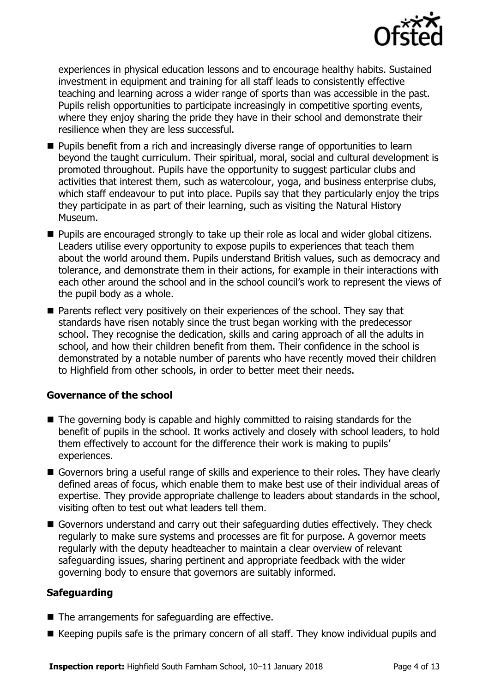

experiences in physical education lessons and to encourage healthy habits. Sustained investment in equipment and training for all staff leads to consistently effective teaching and learning across a wider range of sports than was accessible in the past. Pupils relish opportunities to participate increasingly in competitive sporting events, where they enjoy sharing the pride they have in their school and demonstrate their resilience when they are less successful.

- **Pupils benefit from a rich and increasingly diverse range of opportunities to learn** beyond the taught curriculum. Their spiritual, moral, social and cultural development is promoted throughout. Pupils have the opportunity to suggest particular clubs and activities that interest them, such as watercolour, yoga, and business enterprise clubs, which staff endeavour to put into place. Pupils say that they particularly enjoy the trips they participate in as part of their learning, such as visiting the Natural History Museum.
- **Pupils are encouraged strongly to take up their role as local and wider global citizens.** Leaders utilise every opportunity to expose pupils to experiences that teach them about the world around them. Pupils understand British values, such as democracy and tolerance, and demonstrate them in their actions, for example in their interactions with each other around the school and in the school council's work to represent the views of the pupil body as a whole.
- **Parents reflect very positively on their experiences of the school. They say that** standards have risen notably since the trust began working with the predecessor school. They recognise the dedication, skills and caring approach of all the adults in school, and how their children benefit from them. Their confidence in the school is demonstrated by a notable number of parents who have recently moved their children to Highfield from other schools, in order to better meet their needs.

### **Governance of the school**

- The governing body is capable and highly committed to raising standards for the benefit of pupils in the school. It works actively and closely with school leaders, to hold them effectively to account for the difference their work is making to pupils' experiences.
- Governors bring a useful range of skills and experience to their roles. They have clearly defined areas of focus, which enable them to make best use of their individual areas of expertise. They provide appropriate challenge to leaders about standards in the school, visiting often to test out what leaders tell them.
- Governors understand and carry out their safeguarding duties effectively. They check regularly to make sure systems and processes are fit for purpose. A governor meets regularly with the deputy headteacher to maintain a clear overview of relevant safeguarding issues, sharing pertinent and appropriate feedback with the wider governing body to ensure that governors are suitably informed.

### **Safeguarding**

- $\blacksquare$  The arrangements for safeguarding are effective.
- Keeping pupils safe is the primary concern of all staff. They know individual pupils and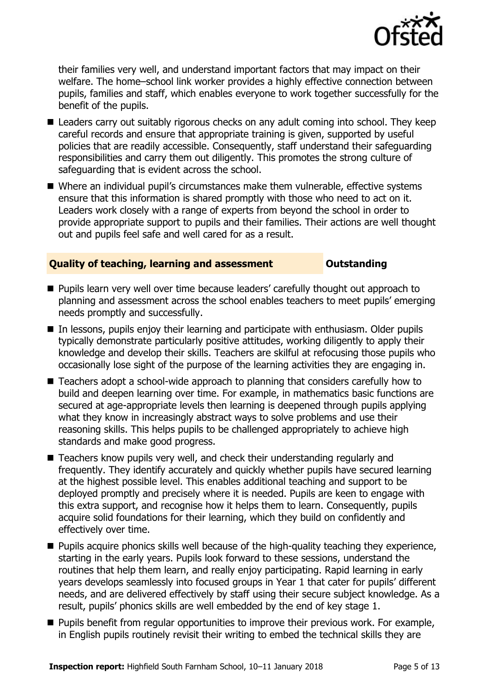

their families very well, and understand important factors that may impact on their welfare. The home–school link worker provides a highly effective connection between pupils, families and staff, which enables everyone to work together successfully for the benefit of the pupils.

- Leaders carry out suitably rigorous checks on any adult coming into school. They keep careful records and ensure that appropriate training is given, supported by useful policies that are readily accessible. Consequently, staff understand their safeguarding responsibilities and carry them out diligently. This promotes the strong culture of safeguarding that is evident across the school.
- Where an individual pupil's circumstances make them vulnerable, effective systems ensure that this information is shared promptly with those who need to act on it. Leaders work closely with a range of experts from beyond the school in order to provide appropriate support to pupils and their families. Their actions are well thought out and pupils feel safe and well cared for as a result.

### **Quality of teaching, learning and assessment Outstanding**

- **Pupils learn very well over time because leaders' carefully thought out approach to** planning and assessment across the school enables teachers to meet pupils' emerging needs promptly and successfully.
- In lessons, pupils enjoy their learning and participate with enthusiasm. Older pupils typically demonstrate particularly positive attitudes, working diligently to apply their knowledge and develop their skills. Teachers are skilful at refocusing those pupils who occasionally lose sight of the purpose of the learning activities they are engaging in.
- Teachers adopt a school-wide approach to planning that considers carefully how to build and deepen learning over time. For example, in mathematics basic functions are secured at age-appropriate levels then learning is deepened through pupils applying what they know in increasingly abstract ways to solve problems and use their reasoning skills. This helps pupils to be challenged appropriately to achieve high standards and make good progress.
- Teachers know pupils very well, and check their understanding regularly and frequently. They identify accurately and quickly whether pupils have secured learning at the highest possible level. This enables additional teaching and support to be deployed promptly and precisely where it is needed. Pupils are keen to engage with this extra support, and recognise how it helps them to learn. Consequently, pupils acquire solid foundations for their learning, which they build on confidently and effectively over time.
- **Pupils acquire phonics skills well because of the high-quality teaching they experience,** starting in the early years. Pupils look forward to these sessions, understand the routines that help them learn, and really enjoy participating. Rapid learning in early years develops seamlessly into focused groups in Year 1 that cater for pupils' different needs, and are delivered effectively by staff using their secure subject knowledge. As a result, pupils' phonics skills are well embedded by the end of key stage 1.
- **Pupils benefit from regular opportunities to improve their previous work. For example,** in English pupils routinely revisit their writing to embed the technical skills they are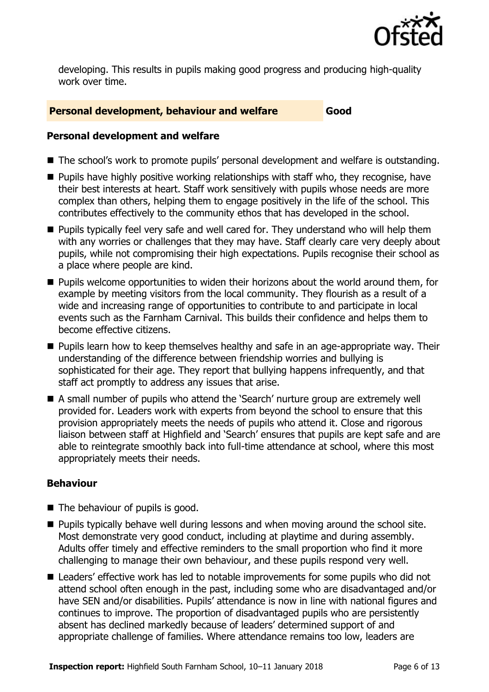

developing. This results in pupils making good progress and producing high-quality work over time.

### **Personal development, behaviour and welfare Good**

#### **Personal development and welfare**

- The school's work to promote pupils' personal development and welfare is outstanding.
- **Pupils have highly positive working relationships with staff who, they recognise, have** their best interests at heart. Staff work sensitively with pupils whose needs are more complex than others, helping them to engage positively in the life of the school. This contributes effectively to the community ethos that has developed in the school.
- **Pupils typically feel very safe and well cared for. They understand who will help them** with any worries or challenges that they may have. Staff clearly care very deeply about pupils, while not compromising their high expectations. Pupils recognise their school as a place where people are kind.
- **Pupils welcome opportunities to widen their horizons about the world around them, for** example by meeting visitors from the local community. They flourish as a result of a wide and increasing range of opportunities to contribute to and participate in local events such as the Farnham Carnival. This builds their confidence and helps them to become effective citizens.
- **Pupils learn how to keep themselves healthy and safe in an age-appropriate way. Their** understanding of the difference between friendship worries and bullying is sophisticated for their age. They report that bullying happens infrequently, and that staff act promptly to address any issues that arise.
- A small number of pupils who attend the 'Search' nurture group are extremely well provided for. Leaders work with experts from beyond the school to ensure that this provision appropriately meets the needs of pupils who attend it. Close and rigorous liaison between staff at Highfield and 'Search' ensures that pupils are kept safe and are able to reintegrate smoothly back into full-time attendance at school, where this most appropriately meets their needs.

### **Behaviour**

- $\blacksquare$  The behaviour of pupils is good.
- $\blacksquare$  Pupils typically behave well during lessons and when moving around the school site. Most demonstrate very good conduct, including at playtime and during assembly. Adults offer timely and effective reminders to the small proportion who find it more challenging to manage their own behaviour, and these pupils respond very well.
- Leaders' effective work has led to notable improvements for some pupils who did not attend school often enough in the past, including some who are disadvantaged and/or have SEN and/or disabilities. Pupils' attendance is now in line with national figures and continues to improve. The proportion of disadvantaged pupils who are persistently absent has declined markedly because of leaders' determined support of and appropriate challenge of families. Where attendance remains too low, leaders are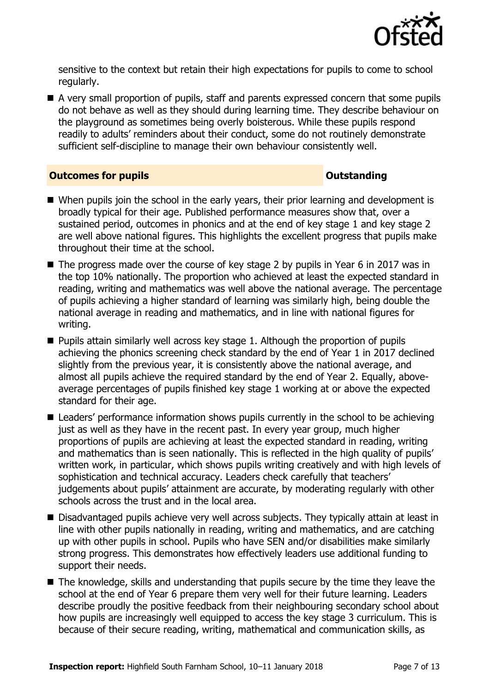

sensitive to the context but retain their high expectations for pupils to come to school regularly.

A very small proportion of pupils, staff and parents expressed concern that some pupils do not behave as well as they should during learning time. They describe behaviour on the playground as sometimes being overly boisterous. While these pupils respond readily to adults' reminders about their conduct, some do not routinely demonstrate sufficient self-discipline to manage their own behaviour consistently well.

#### **Outcomes for pupils Outstanding**

- When pupils join the school in the early years, their prior learning and development is broadly typical for their age. Published performance measures show that, over a sustained period, outcomes in phonics and at the end of key stage 1 and key stage 2 are well above national figures. This highlights the excellent progress that pupils make throughout their time at the school.
- The progress made over the course of key stage 2 by pupils in Year 6 in 2017 was in the top 10% nationally. The proportion who achieved at least the expected standard in reading, writing and mathematics was well above the national average. The percentage of pupils achieving a higher standard of learning was similarly high, being double the national average in reading and mathematics, and in line with national figures for writing.
- $\blacksquare$  Pupils attain similarly well across key stage 1. Although the proportion of pupils achieving the phonics screening check standard by the end of Year 1 in 2017 declined slightly from the previous year, it is consistently above the national average, and almost all pupils achieve the required standard by the end of Year 2. Equally, aboveaverage percentages of pupils finished key stage 1 working at or above the expected standard for their age.
- Leaders' performance information shows pupils currently in the school to be achieving just as well as they have in the recent past. In every year group, much higher proportions of pupils are achieving at least the expected standard in reading, writing and mathematics than is seen nationally. This is reflected in the high quality of pupils' written work, in particular, which shows pupils writing creatively and with high levels of sophistication and technical accuracy. Leaders check carefully that teachers' judgements about pupils' attainment are accurate, by moderating regularly with other schools across the trust and in the local area.
- Disadvantaged pupils achieve very well across subjects. They typically attain at least in line with other pupils nationally in reading, writing and mathematics, and are catching up with other pupils in school. Pupils who have SEN and/or disabilities make similarly strong progress. This demonstrates how effectively leaders use additional funding to support their needs.
- The knowledge, skills and understanding that pupils secure by the time they leave the school at the end of Year 6 prepare them very well for their future learning. Leaders describe proudly the positive feedback from their neighbouring secondary school about how pupils are increasingly well equipped to access the key stage 3 curriculum. This is because of their secure reading, writing, mathematical and communication skills, as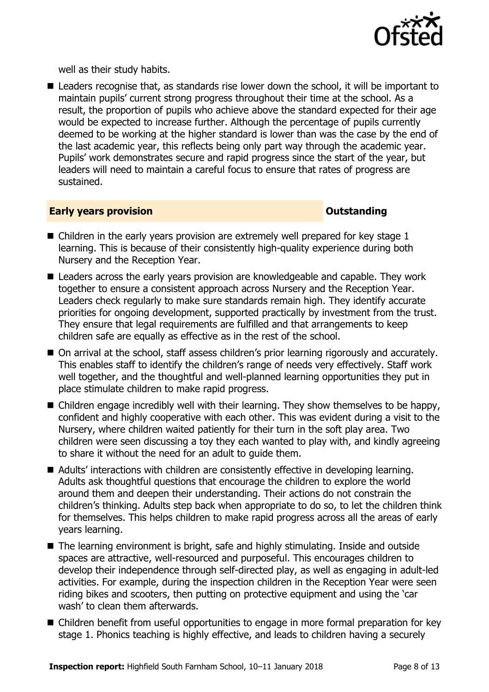

well as their study habits.

■ Leaders recognise that, as standards rise lower down the school, it will be important to maintain pupils' current strong progress throughout their time at the school. As a result, the proportion of pupils who achieve above the standard expected for their age would be expected to increase further. Although the percentage of pupils currently deemed to be working at the higher standard is lower than was the case by the end of the last academic year, this reflects being only part way through the academic year. Pupils' work demonstrates secure and rapid progress since the start of the year, but leaders will need to maintain a careful focus to ensure that rates of progress are sustained.

#### **Early years provision CONSISTER SERVISION**

- $\blacksquare$  Children in the early years provision are extremely well prepared for key stage 1 learning. This is because of their consistently high-quality experience during both Nursery and the Reception Year.
- Leaders across the early years provision are knowledgeable and capable. They work together to ensure a consistent approach across Nursery and the Reception Year. Leaders check regularly to make sure standards remain high. They identify accurate priorities for ongoing development, supported practically by investment from the trust. They ensure that legal requirements are fulfilled and that arrangements to keep children safe are equally as effective as in the rest of the school.
- On arrival at the school, staff assess children's prior learning rigorously and accurately. This enables staff to identify the children's range of needs very effectively. Staff work well together, and the thoughtful and well-planned learning opportunities they put in place stimulate children to make rapid progress.
- Children engage incredibly well with their learning. They show themselves to be happy, confident and highly cooperative with each other. This was evident during a visit to the Nursery, where children waited patiently for their turn in the soft play area. Two children were seen discussing a toy they each wanted to play with, and kindly agreeing to share it without the need for an adult to guide them.
- Adults' interactions with children are consistently effective in developing learning. Adults ask thoughtful questions that encourage the children to explore the world around them and deepen their understanding. Their actions do not constrain the children's thinking. Adults step back when appropriate to do so, to let the children think for themselves. This helps children to make rapid progress across all the areas of early years learning.
- The learning environment is bright, safe and highly stimulating. Inside and outside spaces are attractive, well-resourced and purposeful. This encourages children to develop their independence through self-directed play, as well as engaging in adult-led activities. For example, during the inspection children in the Reception Year were seen riding bikes and scooters, then putting on protective equipment and using the 'car wash' to clean them afterwards.
- Children benefit from useful opportunities to engage in more formal preparation for key stage 1. Phonics teaching is highly effective, and leads to children having a securely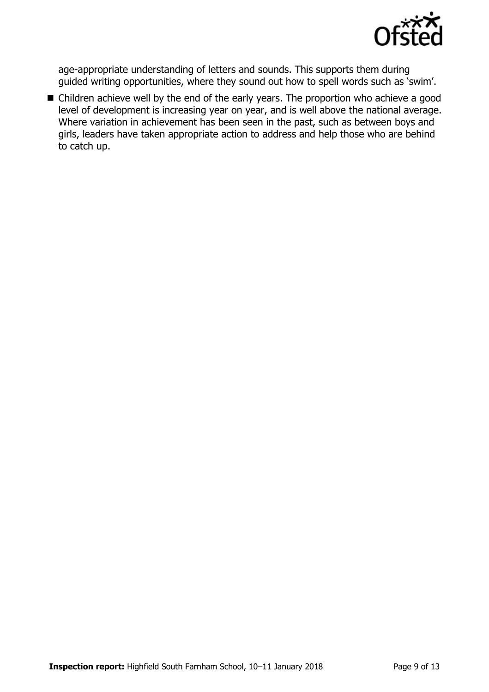

age-appropriate understanding of letters and sounds. This supports them during guided writing opportunities, where they sound out how to spell words such as 'swim'.

■ Children achieve well by the end of the early years. The proportion who achieve a good level of development is increasing year on year, and is well above the national average. Where variation in achievement has been seen in the past, such as between boys and girls, leaders have taken appropriate action to address and help those who are behind to catch up.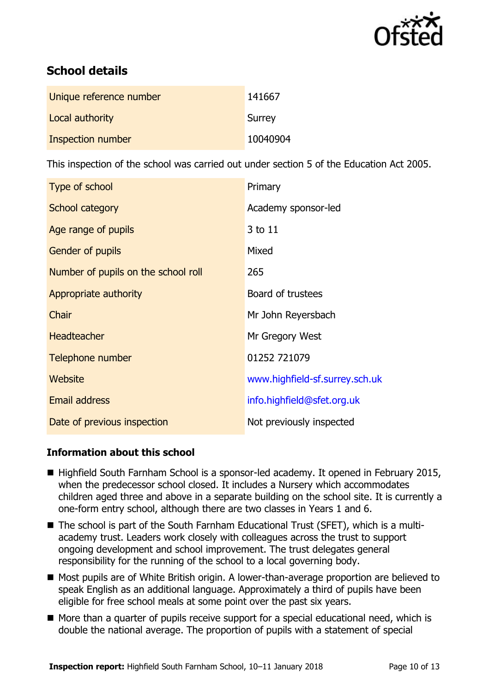

# **School details**

| Unique reference number | 141667   |
|-------------------------|----------|
| Local authority         | Surrey   |
| Inspection number       | 10040904 |

This inspection of the school was carried out under section 5 of the Education Act 2005.

| Type of school                      | Primary                        |
|-------------------------------------|--------------------------------|
| School category                     | Academy sponsor-led            |
| Age range of pupils                 | 3 to 11                        |
| <b>Gender of pupils</b>             | Mixed                          |
| Number of pupils on the school roll | 265                            |
| Appropriate authority               | Board of trustees              |
| Chair                               | Mr John Reyersbach             |
| <b>Headteacher</b>                  | Mr Gregory West                |
| Telephone number                    | 01252 721079                   |
| Website                             | www.highfield-sf.surrey.sch.uk |
| <b>Email address</b>                | info.highfield@sfet.org.uk     |
| Date of previous inspection         | Not previously inspected       |

### **Information about this school**

- Highfield South Farnham School is a sponsor-led academy. It opened in February 2015, when the predecessor school closed. It includes a Nursery which accommodates children aged three and above in a separate building on the school site. It is currently a one-form entry school, although there are two classes in Years 1 and 6.
- The school is part of the South Farnham Educational Trust (SFET), which is a multiacademy trust. Leaders work closely with colleagues across the trust to support ongoing development and school improvement. The trust delegates general responsibility for the running of the school to a local governing body.
- Most pupils are of White British origin. A lower-than-average proportion are believed to speak English as an additional language. Approximately a third of pupils have been eligible for free school meals at some point over the past six years.
- More than a quarter of pupils receive support for a special educational need, which is double the national average. The proportion of pupils with a statement of special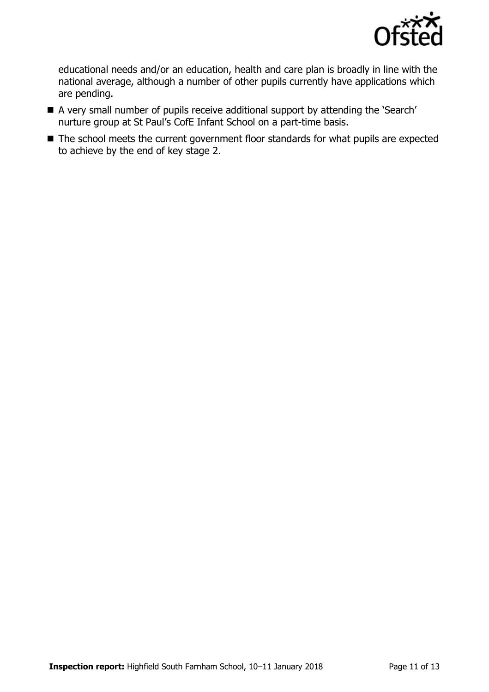

educational needs and/or an education, health and care plan is broadly in line with the national average, although a number of other pupils currently have applications which are pending.

- A very small number of pupils receive additional support by attending the 'Search' nurture group at St Paul's CofE Infant School on a part-time basis.
- The school meets the current government floor standards for what pupils are expected to achieve by the end of key stage 2.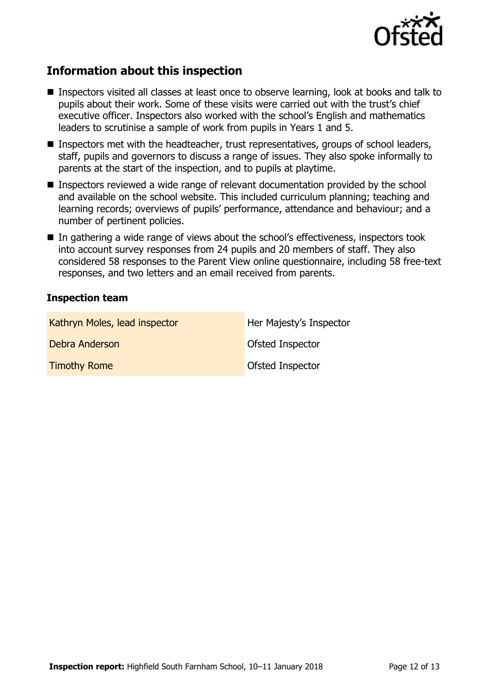

## **Information about this inspection**

- Inspectors visited all classes at least once to observe learning, look at books and talk to pupils about their work. Some of these visits were carried out with the trust's chief executive officer. Inspectors also worked with the school's English and mathematics leaders to scrutinise a sample of work from pupils in Years 1 and 5.
- Inspectors met with the headteacher, trust representatives, groups of school leaders, staff, pupils and governors to discuss a range of issues. They also spoke informally to parents at the start of the inspection, and to pupils at playtime.
- **Inspectors reviewed a wide range of relevant documentation provided by the school** and available on the school website. This included curriculum planning; teaching and learning records; overviews of pupils' performance, attendance and behaviour; and a number of pertinent policies.
- In gathering a wide range of views about the school's effectiveness, inspectors took into account survey responses from 24 pupils and 20 members of staff. They also considered 58 responses to the Parent View online questionnaire, including 58 free-text responses, and two letters and an email received from parents.

#### **Inspection team**

| Kathryn Moles, lead inspector | Her Majesty's Inspector |
|-------------------------------|-------------------------|
| Debra Anderson                | <b>Ofsted Inspector</b> |
| <b>Timothy Rome</b>           | <b>Ofsted Inspector</b> |